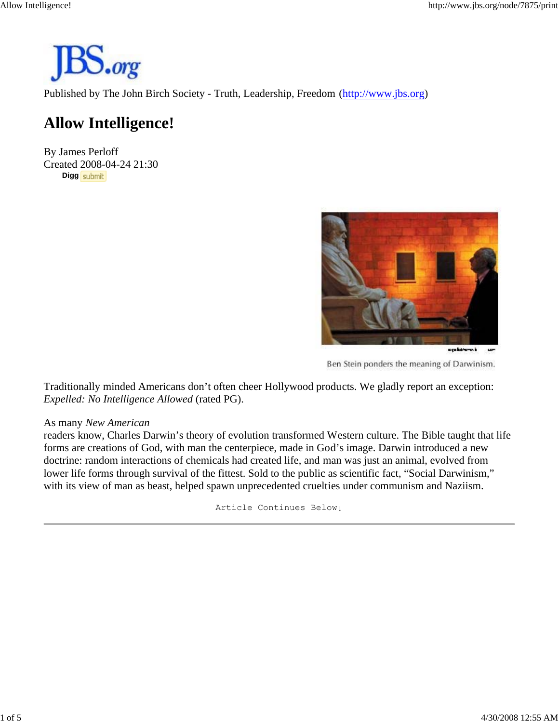

Published by The John Birch Society - Truth, Leadership, Freedom (http://www.jbs.org)

# **Allow Intelligence!**

By James Perloff Created 2008-04-24 21:30 **Digg** 



Ben Stein ponders the meaning of Darwinism.

Traditionally minded Americans don't often cheer Hollywood products. We gladly report an exception: *Expelled: No Intelligence Allowed* (rated PG).

#### As many *New American*

readers know, Charles Darwin's theory of evolution transformed Western culture. The Bible taught that life forms are creations of God, with man the centerpiece, made in God's image. Darwin introduced a new doctrine: random interactions of chemicals had created life, and man was just an animal, evolved from lower life forms through survival of the fittest. Sold to the public as scientific fact, "Social Darwinism," with its view of man as beast, helped spawn unprecedented cruelties under communism and Naziism.

Article Continues Below↓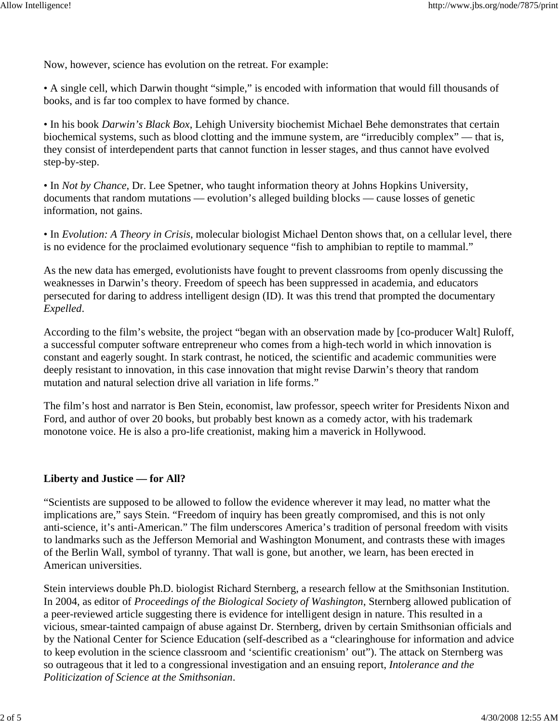Now, however, science has evolution on the retreat. For example:

• A single cell, which Darwin thought "simple," is encoded with information that would fill thousands of books, and is far too complex to have formed by chance.

• In his book *Darwin's Black Box*, Lehigh University biochemist Michael Behe demonstrates that certain biochemical systems, such as blood clotting and the immune system, are "irreducibly complex" — that is, they consist of interdependent parts that cannot function in lesser stages, and thus cannot have evolved step-by-step.

• In *Not by Chance*, Dr. Lee Spetner, who taught information theory at Johns Hopkins University, documents that random mutations — evolution's alleged building blocks — cause losses of genetic information, not gains.

• In *Evolution: A Theory in Crisis*, molecular biologist Michael Denton shows that, on a cellular level, there is no evidence for the proclaimed evolutionary sequence "fish to amphibian to reptile to mammal."

As the new data has emerged, evolutionists have fought to prevent classrooms from openly discussing the weaknesses in Darwin's theory. Freedom of speech has been suppressed in academia, and educators persecuted for daring to address intelligent design (ID). It was this trend that prompted the documentary *Expelled*.

According to the film's website, the project "began with an observation made by [co-producer Walt] Ruloff, a successful computer software entrepreneur who comes from a high-tech world in which innovation is constant and eagerly sought. In stark contrast, he noticed, the scientific and academic communities were deeply resistant to innovation, in this case innovation that might revise Darwin's theory that random mutation and natural selection drive all variation in life forms."

The film's host and narrator is Ben Stein, economist, law professor, speech writer for Presidents Nixon and Ford, and author of over 20 books, but probably best known as a comedy actor, with his trademark monotone voice. He is also a pro-life creationist, making him a maverick in Hollywood.

#### **Liberty and Justice — for All?**

"Scientists are supposed to be allowed to follow the evidence wherever it may lead, no matter what the implications are," says Stein. "Freedom of inquiry has been greatly compromised, and this is not only anti-science, it's anti-American." The film underscores America's tradition of personal freedom with visits to landmarks such as the Jefferson Memorial and Washington Monument, and contrasts these with images of the Berlin Wall, symbol of tyranny. That wall is gone, but another, we learn, has been erected in American universities.

Stein interviews double Ph.D. biologist Richard Sternberg, a research fellow at the Smithsonian Institution. In 2004, as editor of *Proceedings of the Biological Society of Washington*, Sternberg allowed publication of a peer-reviewed article suggesting there is evidence for intelligent design in nature. This resulted in a vicious, smear-tainted campaign of abuse against Dr. Sternberg, driven by certain Smithsonian officials and by the National Center for Science Education (self-described as a "clearinghouse for information and advice to keep evolution in the science classroom and 'scientific creationism' out"). The attack on Sternberg was so outrageous that it led to a congressional investigation and an ensuing report, *Intolerance and the Politicization of Science at the Smithsonian*.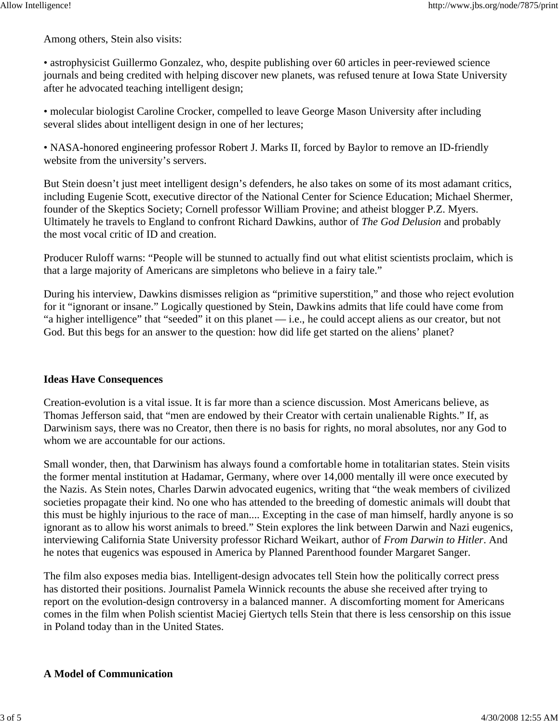Among others, Stein also visits:

• astrophysicist Guillermo Gonzalez, who, despite publishing over 60 articles in peer-reviewed science journals and being credited with helping discover new planets, was refused tenure at Iowa State University after he advocated teaching intelligent design;

• molecular biologist Caroline Crocker, compelled to leave George Mason University after including several slides about intelligent design in one of her lectures;

• NASA-honored engineering professor Robert J. Marks II, forced by Baylor to remove an ID-friendly website from the university's servers.

But Stein doesn't just meet intelligent design's defenders, he also takes on some of its most adamant critics, including Eugenie Scott, executive director of the National Center for Science Education; Michael Shermer, founder of the Skeptics Society; Cornell professor William Provine; and atheist blogger P.Z. Myers. Ultimately he travels to England to confront Richard Dawkins, author of *The God Delusion* and probably the most vocal critic of ID and creation.

Producer Ruloff warns: "People will be stunned to actually find out what elitist scientists proclaim, which is that a large majority of Americans are simpletons who believe in a fairy tale."

During his interview, Dawkins dismisses religion as "primitive superstition," and those who reject evolution for it "ignorant or insane." Logically questioned by Stein, Dawkins admits that life could have come from "a higher intelligence" that "seeded" it on this planet — i.e., he could accept aliens as our creator, but not God. But this begs for an answer to the question: how did life get started on the aliens' planet?

## **Ideas Have Consequences**

Creation-evolution is a vital issue. It is far more than a science discussion. Most Americans believe, as Thomas Jefferson said, that "men are endowed by their Creator with certain unalienable Rights." If, as Darwinism says, there was no Creator, then there is no basis for rights, no moral absolutes, nor any God to whom we are accountable for our actions.

Small wonder, then, that Darwinism has always found a comfortable home in totalitarian states. Stein visits the former mental institution at Hadamar, Germany, where over 14,000 mentally ill were once executed by the Nazis. As Stein notes, Charles Darwin advocated eugenics, writing that "the weak members of civilized societies propagate their kind. No one who has attended to the breeding of domestic animals will doubt that this must be highly injurious to the race of man.... Excepting in the case of man himself, hardly anyone is so ignorant as to allow his worst animals to breed." Stein explores the link between Darwin and Nazi eugenics, interviewing California State University professor Richard Weikart, author of *From Darwin to Hitler*. And he notes that eugenics was espoused in America by Planned Parenthood founder Margaret Sanger.

The film also exposes media bias. Intelligent-design advocates tell Stein how the politically correct press has distorted their positions. Journalist Pamela Winnick recounts the abuse she received after trying to report on the evolution-design controversy in a balanced manner. A discomforting moment for Americans comes in the film when Polish scientist Maciej Giertych tells Stein that there is less censorship on this issue in Poland today than in the United States.

#### **A Model of Communication**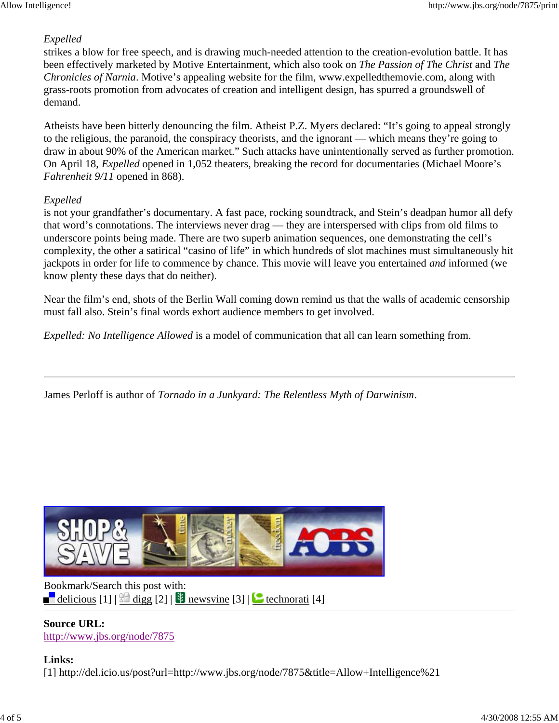## *Expelled*

strikes a blow for free speech, and is drawing much-needed attention to the creation-evolution battle. It has been effectively marketed by Motive Entertainment, which also took on *The Passion of The Christ* and *The Chronicles of Narnia*. Motive's appealing website for the film, www.expelledthemovie.com, along with grass-roots promotion from advocates of creation and intelligent design, has spurred a groundswell of demand.

Atheists have been bitterly denouncing the film. Atheist P.Z. Myers declared: "It's going to appeal strongly to the religious, the paranoid, the conspiracy theorists, and the ignorant — which means they're going to draw in about 90% of the American market." Such attacks have unintentionally served as further promotion. On April 18, *Expelled* opened in 1,052 theaters, breaking the record for documentaries (Michael Moore's *Fahrenheit 9/11* opened in 868).

### *Expelled*

is not your grandfather's documentary. A fast pace, rocking soundtrack, and Stein's deadpan humor all defy that word's connotations. The interviews never drag — they are interspersed with clips from old films to underscore points being made. There are two superb animation sequences, one demonstrating the cell's complexity, the other a satirical "casino of life" in which hundreds of slot machines must simultaneously hit jackpots in order for life to commence by chance. This movie will leave you entertained *and* informed (we know plenty these days that do neither).

Near the film's end, shots of the Berlin Wall coming down remind us that the walls of academic censorship must fall also. Stein's final words exhort audience members to get involved.

*Expelled: No Intelligence Allowed* is a model of communication that all can learn something from.

James Perloff is author of *Tornado in a Junkyard: The Relentless Myth of Darwinism*.



Bookmark/Search this post with: delicious  $[1]$   $\frac{1}{2}$  digg  $[2]$   $\frac{1}{2}$  newsvine  $[3]$   $\frac{1}{2}$  technorati  $[4]$ 

**Source URL:** http://www.jbs.org/node/7875

### **Links:** [1] http://del.icio.us/post?url=http://www.jbs.org/node/7875&title=Allow+Intelligence%21